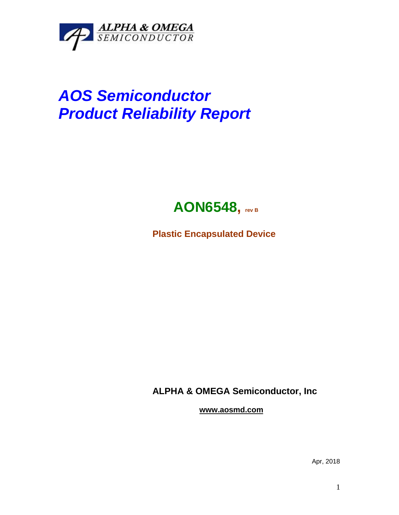

## *AOS Semiconductor Product Reliability Report*



**Plastic Encapsulated Device**

**ALPHA & OMEGA Semiconductor, Inc**

**www.aosmd.com**

Apr, 2018